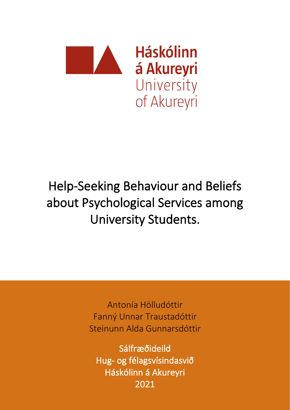

# Help-Seeking Behaviour and Beliefs about Psychological Services among University Students.

Antonía Hölludóttir Fanný Unnar Traustadóttir Steinunn Alda Gunnarsdóttir

Sálfræðideild Hug- og félagsvísindasvið Háskólinn á Akureyri 2021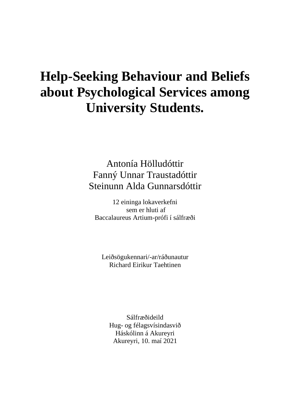# **Help-Seeking Behaviour and Beliefs about Psychological Services among University Students.**

Antonía Hölludóttir Fanný Unnar Traustadóttir Steinunn Alda Gunnarsdóttir

12 eininga lokaverkefni sem er hluti af Baccalaureus Artium-prófi í sálfræði

Leiðsögukennari/-ar/ráðunautur Richard Eirikur Taehtinen

Sálfræðideild Hug- og félagsvísindasvið Háskólinn á Akureyri Akureyri, 10. maí 2021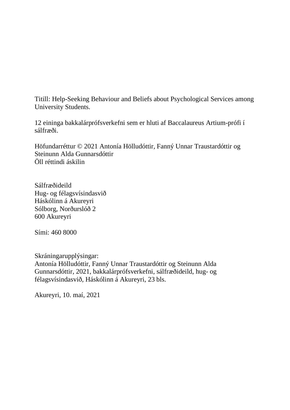Titill: Help-Seeking Behaviour and Beliefs about Psychological Services among University Students.

12 eininga bakkalárprófsverkefni sem er hluti af Baccalaureus Artium-prófi í sálfræði.

Höfundarréttur © 2021 Antonía Hölludóttir, Fanný Unnar Traustardóttir og Steinunn Alda Gunnarsdóttir Öll réttindi áskilin

Sálfræðideild Hug- og félagsvísindasvið Háskólinn á Akureyri Sólborg, Norðurslóð 2 600 Akureyri

Sími: 460 8000

Skráningarupplýsingar: Antonía Hölludóttir, Fanný Unnar Traustardóttir og Steinunn Alda Gunnarsdóttir, 2021, bakkalárprófsverkefni, sálfræðideild, hug- og félagsvísindasvið, Háskólinn á Akureyri, 23 bls.

Akureyri, 10. maí, 2021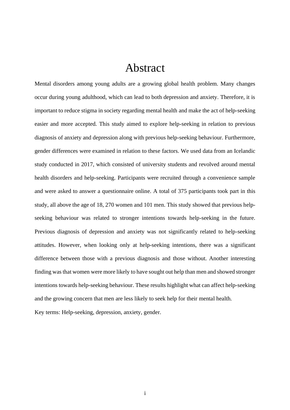## Abstract

Mental disorders among young adults are a growing global health problem. Many changes occur during young adulthood, which can lead to both depression and anxiety. Therefore, it is important to reduce stigma in society regarding mental health and make the act of help-seeking easier and more accepted. This study aimed to explore help-seeking in relation to previous diagnosis of anxiety and depression along with previous help-seeking behaviour. Furthermore, gender differences were examined in relation to these factors. We used data from an Icelandic study conducted in 2017, which consisted of university students and revolved around mental health disorders and help-seeking. Participants were recruited through a convenience sample and were asked to answer a questionnaire online. A total of 375 participants took part in this study, all above the age of 18, 270 women and 101 men. This study showed that previous helpseeking behaviour was related to stronger intentions towards help-seeking in the future. Previous diagnosis of depression and anxiety was not significantly related to help-seeking attitudes. However, when looking only at help-seeking intentions, there was a significant difference between those with a previous diagnosis and those without. Another interesting finding was that women were more likely to have sought out help than men and showed stronger intentions towards help-seeking behaviour. These results highlight what can affect help-seeking and the growing concern that men are less likely to seek help for their mental health.

Key terms: Help-seeking, depression, anxiety, gender.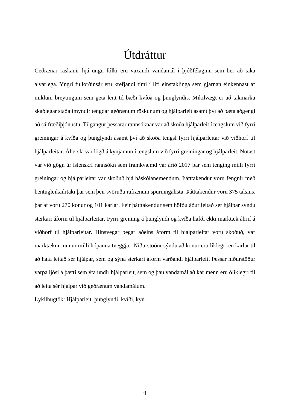# Útdráttur

Geðrænar raskanir hjá ungu fólki eru vaxandi vandamál í þjóðfélaginu sem ber að taka alvarlega. Yngri fullorðinsár eru krefjandi tími í lífi einstaklinga sem gjarnan einkennast af miklum breytingum sem geta leitt til bæði kvíða og þunglyndis. Mikilvægt er að takmarka skaðlegar staðalímyndir tengdar geðrænum röskunum og hjálparleit ásamt því að bæta aðgengi að sálfræðiþjónustu. Tilgangur þessarar rannsóknar var að skoða hjálparleit í tengslum við fyrri greiningar á kvíða og þunglyndi ásamt því að skoða tengsl fyrri hjálparleitar við viðhorf til hjálparleitar. Áhersla var lögð á kynjamun í tengslum við fyrri greiningar og hjálparleit. Notast var við gögn úr íslenskri rannsókn sem framkvæmd var árið 2017 þar sem tenging milli fyrri greiningar og hjálparleitar var skoðuð hjá háskólanemendum. Þátttakendur voru fengnir með hentugleikaúrtaki þar sem þeir svöruðu rafrænum spurningalista. Þátttakendur voru 375 talsins, þar af voru 270 konur og 101 karlar. Þeir þátttakendur sem höfðu áður leitað sér hjálpar sýndu sterkari áform til hjálparleitar. Fyrri greining á þunglyndi og kvíða hafði ekki marktæk áhrif á viðhorf til hjálparleitar. Hinsvegar þegar aðeins áform til hjálparleitar voru skoðuð, var marktækur munur milli hópanna tveggja. Niðurstöður sýndu að konur eru líklegri en karlar til að hafa leitað sér hjálpar, sem og sýna sterkari áform varðandi hjálparleit. Þessar niðurstöður varpa ljósi á þætti sem ýta undir hjálparleit, sem og þau vandamál að karlmenn eru ólíklegri til að leita sér hjálpar við geðrænum vandamálum.

Lykilhugtök: Hjálparleit, þunglyndi, kvíði, kyn.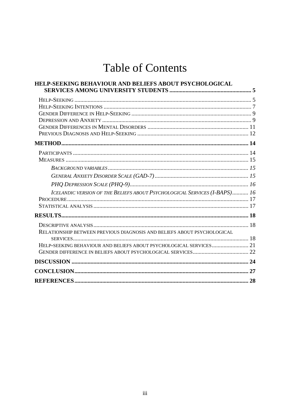# **Table of Contents**

| HELP-SEEKING BEHAVIOUR AND BELIEFS ABOUT PSYCHOLOGICAL                    |  |
|---------------------------------------------------------------------------|--|
|                                                                           |  |
|                                                                           |  |
|                                                                           |  |
|                                                                           |  |
|                                                                           |  |
|                                                                           |  |
|                                                                           |  |
|                                                                           |  |
|                                                                           |  |
|                                                                           |  |
|                                                                           |  |
|                                                                           |  |
| ICELANDIC VERSION OF THE BELIEFS ABOUT PSYCHOLOGICAL SERVICES (I-BAPS) 16 |  |
|                                                                           |  |
|                                                                           |  |
|                                                                           |  |
|                                                                           |  |
| RELATIONSHIP BETWEEN PREVIOUS DIAGNOSIS AND BELIEFS ABOUT PSYCHOLOGICAL   |  |
|                                                                           |  |
| HELP-SEEKING BEHAVIOUR AND BELIEFS ABOUT PSYCHOLOGICAL SERVICES 21        |  |
|                                                                           |  |
|                                                                           |  |
|                                                                           |  |
|                                                                           |  |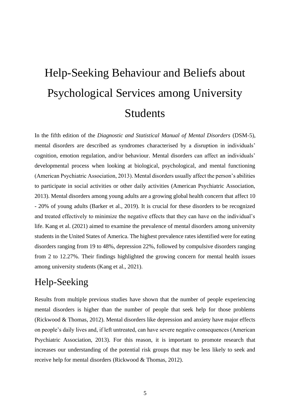# <span id="page-8-0"></span>Help-Seeking Behaviour and Beliefs about Psychological Services among University Students

In the fifth edition of the *Diagnostic and Statistical Manual of Mental Disorders* (DSM-5), mental disorders are described as syndromes characterised by a disruption in individuals' cognition, emotion regulation, and/or behaviour. Mental disorders can affect an individuals' developmental process when looking at biological, psychological, and mental functioning (American Psychiatric Association, 2013). Mental disorders usually affect the person's abilities to participate in social activities or other daily activities (American Psychiatric Association, 2013). Mental disorders among young adults are a growing global health concern that affect 10 - 20% of young adults (Barker et al., 2019). It is crucial for these disorders to be recognized and treated effectively to minimize the negative effects that they can have on the individual's life. Kang et al. (2021) aimed to examine the prevalence of mental disorders among university students in the United States of America. The highest prevalence rates identified were for eating disorders ranging from 19 to 48%, depression 22%, followed by compulsive disorders ranging from 2 to 12.27%. Their findings highlighted the growing concern for mental health issues among university students (Kang et al., 2021).

## <span id="page-8-1"></span>Help-Seeking

Results from multiple previous studies have shown that the number of people experiencing mental disorders is higher than the number of people that seek help for those problems (Rickwood & Thomas, 2012). Mental disorders like depression and anxiety have major effects on people's daily lives and, if left untreated, can have severe negative consequences (American Psychiatric Association, 2013). For this reason, it is important to promote research that increases our understanding of the potential risk groups that may be less likely to seek and receive help for mental disorders (Rickwood & Thomas, 2012).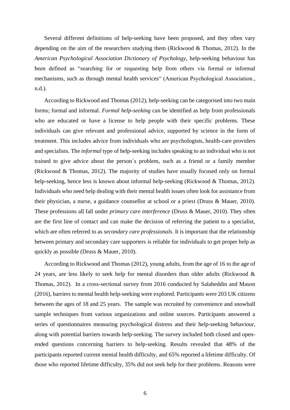Several different definitions of help-seeking have been proposed, and they often vary depending on the aim of the researchers studying them (Rickwood & Thomas, 2012). In the *American Psychological Association Dictionary of Psychology*, help-seeking behaviour has been defined as "searching for or requesting help from others via formal or informal mechanisms, such as through mental health services" (American Psychological Association., n.d.).

According to Rickwood and Thomas (2012), help-seeking can be categorised into two main forms; formal and informal. *Formal help-seeking* can be identified as help from professionals who are educated or have a license to help people with their specific problems. These individuals can give relevant and professional advice, supported by science in the form of treatment. This includes advice from individuals who are psychologists, health-care providers and specialists. The *informal* type of help-seeking includes speaking to an individual who is not trained to give advice about the person´s problem, such as a friend or a family member (Rickwood & Thomas, 2012). The majority of studies have usually focused only on formal help-seeking, hence less is known about informal help-seeking (Rickwood & Thomas, 2012). Individuals who need help dealing with their mental health issues often look for assistance from their physician, a nurse, a guidance counsellor at school or a priest (Druss & Mauer, 2010). These professions all fall under *primary care interference* (Druss & Mauer, 2010). They often are the first line of contact and can make the decision of referring the patient to a specialist, which are often referred to as *secondary care professionals*. It is important that the relationship between primary and secondary care supporters is reliable for individuals to get proper help as quickly as possible (Druss & Mauer, 2010).

According to Rickwood and Thomas (2012), young adults, from the age of 16 to the age of 24 years, are less likely to seek help for mental disorders than older adults (Rickwood  $\&$ Thomas, 2012). In a cross-sectional survey from 2016 conducted by Salaheddin and Mason (2016), barriers to mental health help-seeking were explored. Participants were 203 UK citizens between the ages of 18 and 25 years. The sample was recruited by convenience and snowball sample techniques from various organizations and online sources. Participants answered a series of questionnaires measuring psychological distress and their help-seeking behaviour, along with potential barriers towards help-seeking. The survey included both closed and openended questions concerning barriers to help-seeking. Results revealed that 48% of the participants reported current mental health difficulty, and 65% reported a lifetime difficulty. Of those who reported lifetime difficulty, 35% did not seek help for their problems. Reasons were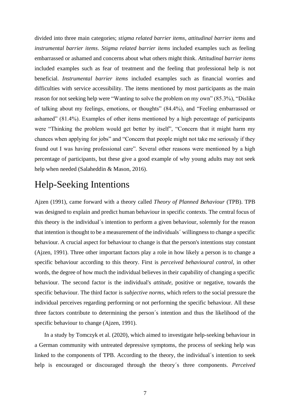divided into three main categories; *stigma related barrier items*, *attitudinal barrier items* and *instrumental barrier items*. *Stigma related barrier items* included examples such as feeling embarrassed or ashamed and concerns about what others might think. *Attitudinal barrier items*  included examples such as fear of treatment and the feeling that professional help is not beneficial. *Instrumental barrier items* included examples such as financial worries and difficulties with service accessibility. The items mentioned by most participants as the main reason for not seeking help were "Wanting to solve the problem on my own" (85.3%), "Dislike of talking about my feelings, emotions, or thoughts" (84.4%), and "Feeling embarrassed or ashamed" (81.4%). Examples of other items mentioned by a high percentage of participants were "Thinking the problem would get better by itself", "Concern that it might harm my chances when applying for jobs" and "Concern that people might not take me seriously if they found out I was having professional care". Several other reasons were mentioned by a high percentage of participants, but these give a good example of why young adults may not seek help when needed (Salaheddin & Mason, 2016).

### <span id="page-10-0"></span>Help-Seeking Intentions

Ajzen (1991), came forward with a theory called *Theory of Planned Behaviour* (TPB). TPB was designed to explain and predict human behaviour in specific contexts. The central focus of this theory is the individual´s intention to perform a given behaviour, solemnly for the reason that intention is thought to be a measurement of the individuals´ willingness to change a specific behaviour. A crucial aspect for behaviour to change is that the person's intentions stay constant (Ajzen, 1991). Three other important factors play a role in how likely a person is to change a specific behaviour according to this theory. First is *perceived behavioural control*, in other words, the degree of how much the individual believes in their capability of changing a specific behaviour. The second factor is the individual's *attitude*, positive or negative, towards the specific behaviour. The third factor is *subjective norms*, which refers to the social pressure the individual perceives regarding performing or not performing the specific behaviour. All these three factors contribute to determining the person´s intention and thus the likelihood of the specific behaviour to change (Ajzen, 1991).

In a study by Tomczyk et al. (2020), which aimed to investigate help-seeking behaviour in a German community with untreated depressive symptoms, the process of seeking help was linked to the components of TPB. According to the theory, the individual´s intention to seek help is encouraged or discouraged through the theory´s three components. *Perceived*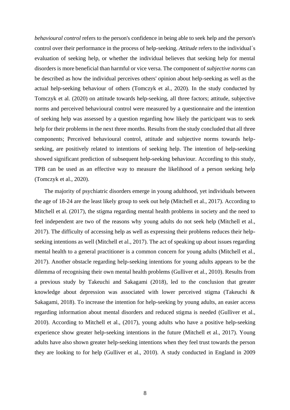*behavioural control* refers to the person's confidence in being able to seek help and the person's control over their performance in the process of help-seeking. *Attitude* refers to the individual´s evaluation of seeking help, or whether the individual believes that seeking help for mental disorders is more beneficial than harmful or vice versa. The component of *subjective norms* can be described as how the individual perceives others' opinion about help-seeking as well as the actual help-seeking behaviour of others (Tomczyk et al., 2020). In the study conducted by Tomczyk et al. (2020) on attitude towards help-seeking, all three factors; attitude, subjective norms and perceived behavioural control were measured by a questionnaire and the intention of seeking help was assessed by a question regarding how likely the participant was to seek help for their problems in the next three months. Results from the study concluded that all three components; Perceived behavioural control, attitude and subjective norms towards helpseeking, are positively related to intentions of seeking help. The intention of help-seeking showed significant prediction of subsequent help-seeking behaviour. According to this study, TPB can be used as an effective way to measure the likelihood of a person seeking help (Tomczyk et al., 2020).

The majority of psychiatric disorders emerge in young adulthood, yet individuals between the age of 18-24 are the least likely group to seek out help (Mitchell et al., 2017). According to Mitchell et al. (2017), the stigma regarding mental health problems in society and the need to feel independent are two of the reasons why young adults do not seek help (Mitchell et al., 2017). The difficulty of accessing help as well as expressing their problems reduces their helpseeking intentions as well (Mitchell et al., 2017). The act of speaking up about issues regarding mental health to a general practitioner is a common concern for young adults (Mitchell et al., 2017). Another obstacle regarding help-seeking intentions for young adults appears to be the dilemma of recognising their own mental health problems (Gulliver et al., 2010). Results from a previous study by Takeuchi and Sakagami (2018), led to the conclusion that greater knowledge about depression was associated with lower perceived stigma (Takeuchi & Sakagami, 2018). To increase the intention for help-seeking by young adults, an easier access regarding information about mental disorders and reduced stigma is needed (Gulliver et al., 2010). According to Mitchell et al., (2017), young adults who have a positive help-seeking experience show greater help-seeking intentions in the future (Mitchell et al., 2017). Young adults have also shown greater help-seeking intentions when they feel trust towards the person they are looking to for help (Gulliver et al., 2010). A study conducted in England in 2009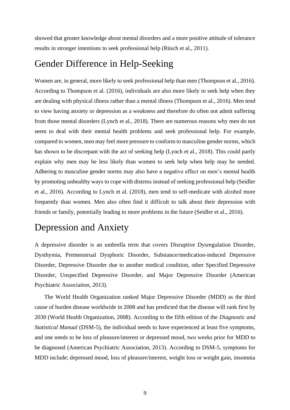showed that greater knowledge about mental disorders and a more positive attitude of tolerance results in stronger intentions to seek professional help (Rüsch et al., 2011).

### <span id="page-12-0"></span>Gender Difference in Help-Seeking

Women are, in general, more likely to seek professional help than men (Thompson et al., 2016). According to Thompson et al. (2016), individuals are also more likely to seek help when they are dealing with physical illness rather than a mental illness (Thompson et al., 2016). Men tend to view having anxiety or depression as a weakness and therefore do often not admit suffering from those mental disorders (Lynch et al., 2018). There are numerous reasons why men do not seem to deal with their mental health problems and seek professional help. For example, compared to women, men may feel more pressure to conform to masculine gender norms, which has shown to be discrepant with the act of seeking help (Lynch et al., 2018). This could partly explain why men may be less likely than women to seek help when help may be needed. Adhering to masculine gender norms may also have a negative effect on men's mental health by promoting unhealthy ways to cope with distress instead of seeking professional help (Seidler et al., 2016). According to Lynch et al. (2018), men tend to self-medicate with alcohol more frequently than women. Men also often find it difficult to talk about their depression with friends or family, potentially leading to more problems in the future (Seidler et al., 2016).

## <span id="page-12-1"></span>Depression and Anxiety

A depressive disorder is an umbrella term that covers Disruptive Dysregulation Disorder, Dysthymia, Premenstrual Dysphoric Disorder, Substance/medication-induced Depressive Disorder, Depressive Disorder due to another medical condition, other Specified Depressive Disorder, Unspecified Depressive Disorder, and Major Depressive Disorder (American Psychiatric Association, 2013).

The World Health Organization ranked Major Depressive Disorder (MDD) as the third cause of burden disease worldwide in 2008 and has predicted that the disease will rank first by 2030 (World Health Organization, 2008). According to the fifth edition of the *Diagnostic and Statistical Manual* (DSM-5), the individual needs to have experienced at least five symptoms, and one needs to be loss of pleasure/interest or depressed mood, two weeks prior for MDD to be diagnosed (American Psychiatric Association, 2013). According to DSM-5, symptoms for MDD include; depressed mood, loss of pleasure/interest, weight loss or weight gain, insomnia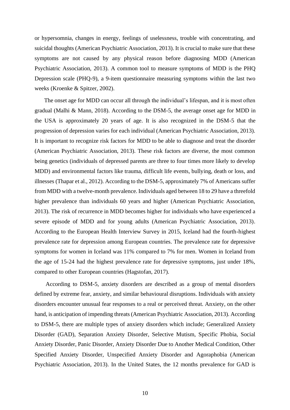or hypersomnia, changes in energy, feelings of uselessness, trouble with concentrating, and suicidal thoughts (American Psychiatric Association, 2013). It is crucial to make sure that these symptoms are not caused by any physical reason before diagnosing MDD (American Psychiatric Association, 2013). A common tool to measure symptoms of MDD is the PHQ Depression scale (PHQ-9), a 9-item questionnaire measuring symptoms within the last two weeks (Kroenke & Spitzer, 2002).

The onset age for MDD can occur all through the individual's lifespan, and it is most often gradual (Malhi & Mann, 2018). According to the DSM-5, the average onset age for MDD in the USA is approximately 20 years of age. It is also recognized in the DSM-5 that the progression of depression varies for each individual (American Psychiatric Association, 2013). It is important to recognize risk factors for MDD to be able to diagnose and treat the disorder (American Psychiatric Association, 2013). These risk factors are diverse, the most common being genetics (individuals of depressed parents are three to four times more likely to develop MDD) and environmental factors like trauma, difficult life events, bullying, death or loss, and illnesses (Thapar et al., 2012). According to the DSM-5, approximately 7% of Americans suffer from MDD with a twelve-month prevalence. Individuals aged between 18 to 29 have a threefold higher prevalence than individuals 60 years and higher (American Psychiatric Association, 2013). The risk of recurrence in MDD becomes higher for individuals who have experienced a severe episode of MDD and for young adults (American Psychiatric Association, 2013). According to the European Health Interview Survey in 2015, Iceland had the fourth-highest prevalence rate for depression among European countries. The prevalence rate for depressive symptoms for women in Iceland was 11% compared to 7% for men. Women in Iceland from the age of 15-24 had the highest prevalence rate for depressive symptoms, just under 18%, compared to other European countries (Hagstofan, 2017).

According to DSM-5, anxiety disorders are described as a group of mental disorders defined by extreme fear, anxiety, and similar behavioural disruptions. Individuals with anxiety disorders encounter unusual fear responses to a real or perceived threat. Anxiety, on the other hand, is anticipation of impending threats (American Psychiatric Association, 2013). According to DSM-5, there are multiple types of anxiety disorders which include; Generalized Anxiety Disorder (GAD), Separation Anxiety Disorder, Selective Mutism, Specific Phobia, Social Anxiety Disorder, Panic Disorder, Anxiety Disorder Due to Another Medical Condition, Other Specified Anxiety Disorder, Unspecified Anxiety Disorder and Agoraphobia (American Psychiatric Association, 2013). In the United States, the 12 months prevalence for GAD is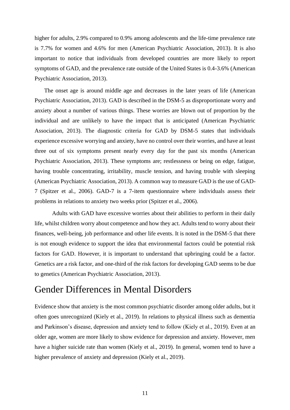higher for adults, 2.9% compared to 0.9% among adolescents and the life-time prevalence rate is 7.7% for women and 4.6% for men (American Psychiatric Association, 2013). It is also important to notice that individuals from developed countries are more likely to report symptoms of GAD, and the prevalence rate outside of the United States is 0.4-3.6% (American Psychiatric Association, 2013).

The onset age is around middle age and decreases in the later years of life (American Psychiatric Association, 2013). GAD is described in the DSM-5 as disproportionate worry and anxiety about a number of various things. These worries are blown out of proportion by the individual and are unlikely to have the impact that is anticipated (American Psychiatric Association, 2013). The diagnostic criteria for GAD by DSM-5 states that individuals experience excessive worrying and anxiety, have no control over their worries, and have at least three out of six symptoms present nearly every day for the past six months (American Psychiatric Association, 2013). These symptoms are; restlessness or being on edge, fatigue, having trouble concentrating, irritability, muscle tension, and having trouble with sleeping (American Psychiatric Association, 2013). A common way to measure GAD is the use of GAD-7 (Spitzer et al., 2006). GAD-7 is a 7-item questionnaire where individuals assess their problems in relations to anxiety two weeks prior (Spitzer et al., 2006).

Adults with GAD have excessive worries about their abilities to perform in their daily life, whilst children worry about competence and how they act. Adults tend to worry about their finances, well-being, job performance and other life events. It is noted in the DSM-5 that there is not enough evidence to support the idea that environmental factors could be potential risk factors for GAD. However, it is important to understand that upbringing could be a factor. Genetics are a risk factor, and one-third of the risk factors for developing GAD seems to be due to genetics (American Psychiatric Association, 2013).

### <span id="page-14-0"></span>Gender Differences in Mental Disorders

Evidence show that anxiety is the most common psychiatric disorder among older adults, but it often goes unrecognized (Kiely et al., 2019). In relations to physical illness such as dementia and Parkinson's disease, depression and anxiety tend to follow (Kiely et al., 2019). Even at an older age, women are more likely to show evidence for depression and anxiety. However, men have a higher suicide rate than women (Kiely et al., 2019). In general, women tend to have a higher prevalence of anxiety and depression (Kiely et al., 2019).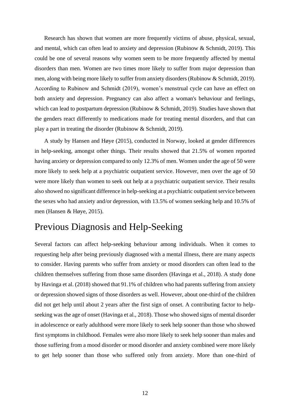Research has shown that women are more frequently victims of abuse, physical, sexual, and mental, which can often lead to anxiety and depression (Rubinow & Schmidt, 2019). This could be one of several reasons why women seem to be more frequently affected by mental disorders than men. Women are two times more likely to suffer from major depression than men, along with being more likely to suffer from anxiety disorders (Rubinow & Schmidt, 2019). According to Rubinow and Schmidt (2019), women's menstrual cycle can have an effect on both anxiety and depression. Pregnancy can also affect a woman's behaviour and feelings, which can lead to postpartum depression (Rubinow & Schmidt, 2019). Studies have shown that the genders react differently to medications made for treating mental disorders, and that can play a part in treating the disorder (Rubinow & Schmidt, 2019).

A study by Hansen and Høye (2015), conducted in Norway, looked at gender differences in help-seeking, amongst other things. Their results showed that 21.5% of women reported having anxiety or depression compared to only 12.3% of men. Women under the age of 50 were more likely to seek help at a psychiatric outpatient service. However, men over the age of 50 were more likely than women to seek out help at a psychiatric outpatient service. Their results also showed no significant difference in help-seeking at a psychiatric outpatient service between the sexes who had anxiety and/or depression, with 13.5% of women seeking help and 10.5% of men (Hansen & Høye, 2015).

### <span id="page-15-0"></span>Previous Diagnosis and Help-Seeking

Several factors can affect help-seeking behaviour among individuals. When it comes to requesting help after being previously diagnosed with a mental illness, there are many aspects to consider. Having parents who suffer from anxiety or mood disorders can often lead to the children themselves suffering from those same disorders (Havinga et al., 2018). A study done by Havinga et al. (2018) showed that 91.1% of children who had parents suffering from anxiety or depression showed signs of those disorders as well. However, about one-third of the children did not get help until about 2 years after the first sign of onset. A contributing factor to helpseeking was the age of onset (Havinga et al., 2018). Those who showed signs of mental disorder in adolescence or early adulthood were more likely to seek help sooner than those who showed first symptoms in childhood. Females were also more likely to seek help sooner than males and those suffering from a mood disorder or mood disorder and anxiety combined were more likely to get help sooner than those who suffered only from anxiety. More than one-third of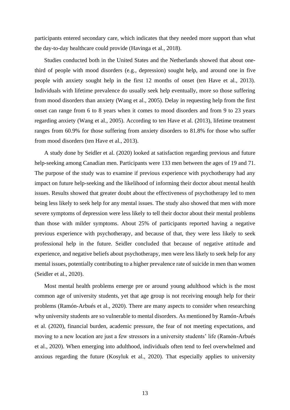participants entered secondary care, which indicates that they needed more support than what the day-to-day healthcare could provide (Havinga et al., 2018).

Studies conducted both in the United States and the Netherlands showed that about onethird of people with mood disorders (e.g., depression) sought help, and around one in five people with anxiety sought help in the first 12 months of onset (ten Have et al., 2013). Individuals with lifetime prevalence do usually seek help eventually, more so those suffering from mood disorders than anxiety (Wang et al., 2005). Delay in requesting help from the first onset can range from 6 to 8 years when it comes to mood disorders and from 9 to 23 years regarding anxiety (Wang et al., 2005). According to ten Have et al. (2013), lifetime treatment ranges from 60.9% for those suffering from anxiety disorders to 81.8% for those who suffer from mood disorders (ten Have et al., 2013).

A study done by Seidler et al. (2020) looked at satisfaction regarding previous and future help-seeking among Canadian men. Participants were 133 men between the ages of 19 and 71. The purpose of the study was to examine if previous experience with psychotherapy had any impact on future help-seeking and the likelihood of informing their doctor about mental health issues. Results showed that greater doubt about the effectiveness of psychotherapy led to men being less likely to seek help for any mental issues. The study also showed that men with more severe symptoms of depression were less likely to tell their doctor about their mental problems than those with milder symptoms. About 25% of participants reported having a negative previous experience with psychotherapy, and because of that, they were less likely to seek professional help in the future. Seidler concluded that because of negative attitude and experience, and negative beliefs about psychotherapy, men were less likely to seek help for any mental issues, potentially contributing to a higher prevalence rate of suicide in men than women (Seidler et al., 2020).

Most mental health problems emerge pre or around young adulthood which is the most common age of university students, yet that age group is not receiving enough help for their problems (Ramón-Arbués et al., 2020). There are many aspects to consider when researching why university students are so vulnerable to mental disorders. As mentioned by Ramón-Arbués et al. (2020), financial burden, academic pressure, the fear of not meeting expectations, and moving to a new location are just a few stressors in a university students' life (Ramón-Arbués et al., 2020). When emerging into adulthood, individuals often tend to feel overwhelmed and anxious regarding the future (Kosyluk et al., 2020). That especially applies to university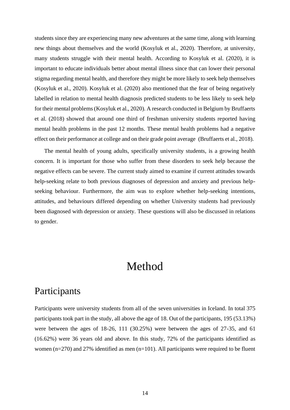students since they are experiencing many new adventures at the same time, along with learning new things about themselves and the world (Kosyluk et al., 2020). Therefore, at university, many students struggle with their mental health. According to Kosyluk et al. (2020), it is important to educate individuals better about mental illness since that can lower their personal stigma regarding mental health, and therefore they might be more likely to seek help themselves (Kosyluk et al., 2020). Kosyluk et al. (2020) also mentioned that the fear of being negatively labelled in relation to mental health diagnosis predicted students to be less likely to seek help for their mental problems (Kosyluk et al., 2020). A research conducted in Belgium by Bruffaerts et al. (2018) showed that around one third of freshman university students reported having mental health problems in the past 12 months. These mental health problems had a negative effect on their performance at college and on their grade point average (Bruffaerts et al., 2018).

The mental health of young adults, specifically university students, is a growing health concern. It is important for those who suffer from these disorders to seek help because the negative effects can be severe. The current study aimed to examine if current attitudes towards help-seeking relate to both previous diagnoses of depression and anxiety and previous helpseeking behaviour. Furthermore, the aim was to explore whether help-seeking intentions, attitudes, and behaviours differed depending on whether University students had previously been diagnosed with depression or anxiety. These questions will also be discussed in relations to gender.

# Method

### <span id="page-17-1"></span><span id="page-17-0"></span>Participants

Participants were university students from all of the seven universities in Iceland. In total 375 participants took part in the study, all above the age of 18. Out of the participants, 195 (53.13%) were between the ages of 18-26, 111 (30.25%) were between the ages of 27-35, and 61 (16.62%) were 36 years old and above. In this study, 72% of the participants identified as women ( $n=270$ ) and 27% identified as men ( $n=101$ ). All participants were required to be fluent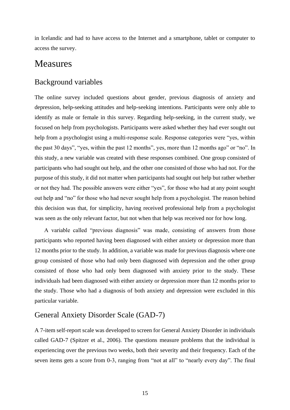in Icelandic and had to have access to the Internet and a smartphone, tablet or computer to access the survey.

### <span id="page-18-0"></span>Measures

### <span id="page-18-1"></span>Background variables

The online survey included questions about gender, previous diagnosis of anxiety and depression, help-seeking attitudes and help-seeking intentions. Participants were only able to identify as male or female in this survey. Regarding help-seeking, in the current study, we focused on help from psychologists. Participants were asked whether they had ever sought out help from a psychologist using a multi-response scale. Response categories were "yes, within the past 30 days", "yes, within the past 12 months", yes, more than 12 months ago" or "no". In this study, a new variable was created with these responses combined. One group consisted of participants who had sought out help, and the other one consisted of those who had not. For the purpose of this study, it did not matter when participants had sought out help but rather whether or not they had. The possible answers were either "yes", for those who had at any point sought out help and "no" for those who had never sought help from a psychologist. The reason behind this decision was that, for simplicity, having received professional help from a psychologist was seen as the only relevant factor, but not when that help was received nor for how long.

A variable called "previous diagnosis" was made, consisting of answers from those participants who reported having been diagnosed with either anxiety or depression more than 12 months prior to the study. In addition, a variable was made for previous diagnosis where one group consisted of those who had only been diagnosed with depression and the other group consisted of those who had only been diagnosed with anxiety prior to the study. These individuals had been diagnosed with either anxiety or depression more than 12 months prior to the study. Those who had a diagnosis of both anxiety and depression were excluded in this particular variable.

### <span id="page-18-2"></span>General Anxiety Disorder Scale (GAD-7)

A 7-item self-report scale was developed to screen for General Anxiety Disorder in individuals called GAD-7 (Spitzer et al., 2006). The questions measure problems that the individual is experiencing over the previous two weeks, both their severity and their frequency. Each of the seven items gets a score from 0-3, ranging from "not at all" to "nearly every day". The final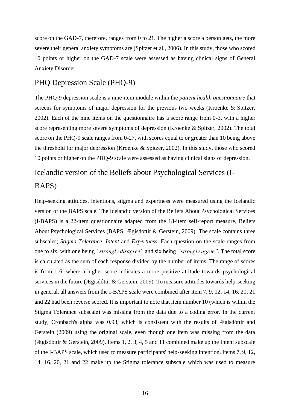score on the GAD-7, therefore, ranges from 0 to 21. The higher a score a person gets, the more severe their general anxiety symptoms are (Spitzer et al., 2006). In this study, those who scored 10 points or higher on the GAD-7 scale were assessed as having clinical signs of General Anxiety Disorder.

### <span id="page-19-0"></span>PHQ Depression Scale (PHQ-9)

The PHQ-9 depression scale is a nine-item module within the *patient health questionnaire* that screens for symptoms of major depression for the previous two weeks (Kroenke & Spitzer, 2002). Each of the nine items on the questionnaire has a score range from 0-3, with a higher score representing more severe symptoms of depression (Kroenke & Spitzer, 2002). The total score on the PHQ-9 scale ranges from 0-27, with scores equal to or greater than 10 being above the threshold for major depression (Kroenke & Spitzer, 2002). In this study, those who scored 10 points or higher on the PHQ-9 scale were assessed as having clinical signs of depression.

# <span id="page-19-1"></span>Icelandic version of the Beliefs about Psychological Services (I-

### BAPS)

Help-seeking attitudes, intentions, stigma and expertness were measured using the Icelandic version of the BAPS scale. The Icelandic version of the Beliefs About Psychological Services (I-BAPS) is a 22-item questionnaire adapted from the 18-item self-report measure, Beliefs About Psychological Services (BAPS; Ægisdóttir & Gerstein, 2009). The scale contains three subscales; *Stigma Tolerance*, *Intent* and *Expertness*. Each question on the scale ranges from one to six, with one being *"strongly disagree"* and six being *"strongly agree"*. The total score is calculated as the sum of each response divided by the number of items. The range of scores is from 1-6, where a higher score indicates a more positive attitude towards psychological services in the future (Ægisdóttir & Gerstein, 2009). To measure attitudes towards help-seeking in general, all answers from the I-BAPS scale were combined after item 7, 9, 12, 14, 16, 20, 21 and 22 had been reverse scored. It is important to note that item number 10 (which is within the Stigma Tolerance subscale) was missing from the data due to a coding error. In the current study, Cronbach's alpha was 0.93, which is consistent with the results of Ægisdóttir and Gerstein (2009) using the original scale, even though one item was missing from the data (Ægisdóttir & Gerstein, 2009). Items 1, 2, 3, 4, 5 and 11 combined make up the Intent subscale of the I-BAPS scale, which used to measure participants' help-seeking intention. Items 7, 9, 12, 14, 16, 20, 21 and 22 make up the Stigma tolerance subscale which was used to measure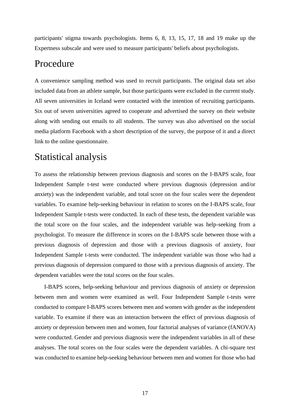participants' stigma towards psychologists. Items 6, 8, 13, 15, 17, 18 and 19 make up the Expertness subscale and were used to measure participants' beliefs about psychologists.

### <span id="page-20-0"></span>Procedure

A convenience sampling method was used to recruit participants. The original data set also included data from an athlete sample, but those participants were excluded in the current study. All seven universities in Iceland were contacted with the intention of recruiting participants. Six out of seven universities agreed to cooperate and advertised the survey on their website along with sending out emails to all students. The survey was also advertised on the social media platform Facebook with a short description of the survey, the purpose of it and a direct link to the online questionnaire.

## <span id="page-20-1"></span>Statistical analysis

To assess the relationship between previous diagnosis and scores on the I-BAPS scale, four Independent Sample t-test were conducted where previous diagnosis (depression and/or anxiety) was the independent variable, and total score on the four scales were the dependent variables. To examine help-seeking behaviour in relation to scores on the I-BAPS scale, four Independent Sample t-tests were conducted. In each of these tests, the dependent variable was the total score on the four scales, and the independent variable was help-seeking from a psychologist. To measure the difference in scores on the I-BAPS scale between those with a previous diagnosis of depression and those with a previous diagnosis of anxiety, four Independent Sample t-tests were conducted. The independent variable was those who had a previous diagnosis of depression compared to those with a previous diagnosis of anxiety. The dependent variables were the total scores on the four scales.

I-BAPS scores, help-seeking behaviour and previous diagnosis of anxiety or depression between men and women were examined as well. Four Independent Sample t-tests were conducted to compare I-BAPS scores between men and women with gender as the independent variable. To examine if there was an interaction between the effect of previous diagnosis of anxiety or depression between men and women, four factorial analyses of variance (fANOVA) were conducted. Gender and previous diagnosis were the independent variables in all of these analyses. The total scores on the four scales were the dependent variables. A chi-square test was conducted to examine help-seeking behaviour between men and women for those who had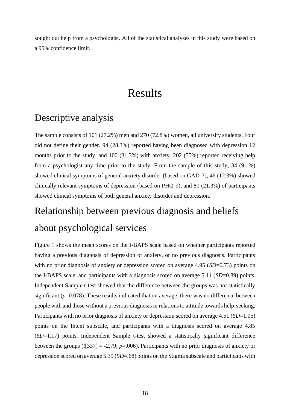<span id="page-21-0"></span>sought out help from a psychologist. All of the statistical analyses in this study were based on a 95% confidence limit.

## Results

## <span id="page-21-1"></span>Descriptive analysis

The sample consists of 101 (27.2%) men and 270 (72.8%) women, all university students. Four did not define their gender. 94 (28.3%) reported having been diagnosed with depression 12 months prior to the study, and 100 (31.3%) with anxiety. 202 (55%) reported receiving help from a psychologist any time prior to the study. From the sample of this study, 34 (9.1%) showed clinical symptoms of general anxiety disorder (based on GAD-7), 46 (12.3%) showed clinically relevant symptoms of depression (based on PHQ-9), and 80 (21.3%) of participants showed clinical symptoms of both general anxiety disorder and depression.

# <span id="page-21-2"></span>Relationship between previous diagnosis and beliefs about psychological services

Figure 1 shows the mean scores on the I-BAPS scale based on whether participants reported having a previous diagnosis of depression or anxiety, or no previous diagnosis. Participants with no prior diagnosis of anxiety or depression scored on average 4.95 (*SD*=0.73) points on the I-BAPS scale, and participants with a diagnosis scored on average 5.11 (*SD*=0.89) points. Independent Sample t-test showed that the difference between the groups was not statistically significant  $(p=0.078)$ . These results indicated that on average, there was no difference between people with and those without a previous diagnosis in relations to attitude towards help-seeking. Participants with no prior diagnosis of anxiety or depression scored on average 4.51 (*SD*=1.05) points on the Intent subscale, and participants with a diagnosis scored on average 4.85 (*SD*=1.17) points. Independent Sample t-test showed a statistically significant difference between the groups (*t*[337] = -2,79; *p*=.006). Participants with no prior diagnosis of anxiety or depression scored on average 5.39 (*SD*=.68) points on the Stigma subscale and participants with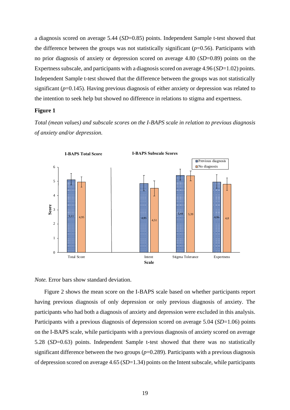a diagnosis scored on average 5.44 (*SD*=0.85) points. Independent Sample t-test showed that the difference between the groups was not statistically significant  $(p=0.56)$ . Participants with no prior diagnosis of anxiety or depression scored on average 4.80 (*SD*=0.89) points on the Expertness subscale, and participants with a diagnosis scored on average 4.96 (*SD*=1.02) points. Independent Sample t-test showed that the difference between the groups was not statistically significant (*p*=0.145). Having previous diagnosis of either anxiety or depression was related to the intention to seek help but showed no difference in relations to stigma and expertness.

#### **Figure 1**

*Total (mean values) and subscale scores on the I-BAPS scale in relation to previous diagnosis of anxiety and/or depression.*



*Note.* Error bars show standard deviation.

Figure 2 shows the mean score on the I-BAPS scale based on whether participants report having previous diagnosis of only depression or only previous diagnosis of anxiety. The participants who had both a diagnosis of anxiety and depression were excluded in this analysis. Participants with a previous diagnosis of depression scored on average 5.04 (*SD*=1.06) points on the I-BAPS scale, while participants with a previous diagnosis of anxiety scored on average 5.28 (*SD*=0.63) points. Independent Sample t-test showed that there was no statistically significant difference between the two groups (*p*=0.289). Participants with a previous diagnosis of depression scored on average 4.65 (*SD*=1.34) points on the Intent subscale, while participants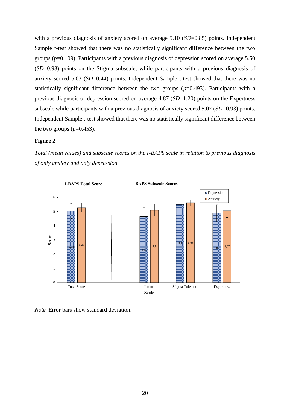with a previous diagnosis of anxiety scored on average 5.10 (*SD*=0.85) points. Independent Sample t-test showed that there was no statistically significant difference between the two groups (*p*=0.109). Participants with a previous diagnosis of depression scored on average 5.50 (*SD*=0.93) points on the Stigma subscale, while participants with a previous diagnosis of anxiety scored 5.63 (*SD*=0.44) points. Independent Sample t-test showed that there was no statistically significant difference between the two groups  $(p=0.493)$ . Participants with a previous diagnosis of depression scored on average 4.87 (*SD*=1.20) points on the Expertness subscale while participants with a previous diagnosis of anxiety scored 5.07 (*SD*=0.93) points. Independent Sample t-test showed that there was no statistically significant difference between the two groups  $(p=0.453)$ .

#### **Figure 2**

*Total (mean values) and subscale scores on the I-BAPS scale in relation to previous diagnosis of only anxiety and only depression.*



*Note.* Error bars show standard deviation.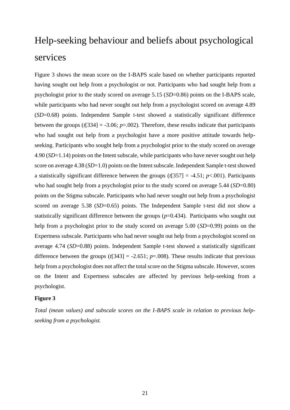# <span id="page-24-0"></span>Help-seeking behaviour and beliefs about psychological services

Figure 3 shows the mean score on the I-BAPS scale based on whether participants reported having sought out help from a psychologist or not. Participants who had sought help from a psychologist prior to the study scored on average 5.15 (*SD*=0.86) points on the I-BAPS scale, while participants who had never sought out help from a psychologist scored on average 4.89 (*SD*=0.68) points. Independent Sample t-test showed a statistically significant difference between the groups  $(t[334] = -3.06; p=.002)$ . Therefore, these results indicate that participants who had sought out help from a psychologist have a more positive attitude towards helpseeking. Participants who sought help from a psychologist prior to the study scored on average 4.90 (*SD*=1.14) points on the Intent subscale, while participants who have never sought out help score on average 4.38 (*SD*=1.0) points on the Intent subscale. Independent Sample t-test showed a statistically significant difference between the groups  $(t[357] = -4.51$ ;  $p < .001$ ). Participants who had sought help from a psychologist prior to the study scored on average 5.44 (*SD*=0.80) points on the Stigma subscale. Participants who had never sought out help from a psychologist scored on average 5.38 (*SD*=0.65) points. The Independent Sample t-test did not show a statistically significant difference between the groups  $(p=0.434)$ . Participants who sought out help from a psychologist prior to the study scored on average 5.00 (*SD*=0.99) points on the Expertness subscale. Participants who had never sought out help from a psychologist scored on average 4.74 (*SD*=0.88) points. Independent Sample t-test showed a statistically significant difference between the groups  $(t[343] = -2.651; p=.008)$ . These results indicate that previous help from a psychologist does not affect the total score on the Stigma subscale. However, scores on the Intent and Expertness subscales are affected by previous help-seeking from a psychologist.

#### **Figure 3**

*Total (mean values) and subscale scores on the I-BAPS scale in relation to previous helpseeking from a psychologist.*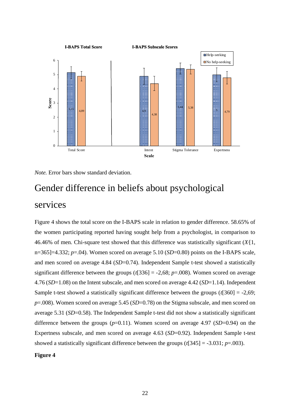



# <span id="page-25-0"></span>Gender difference in beliefs about psychological services

Figure 4 shows the total score on the I-BAPS scale in relation to gender difference. 58.65% of the women participating reported having sought help from a psychologist, in comparison to 46.46% of men. Chi-square test showed that this difference was statistically significant (*X2*[1, n=365]=4.332; *p*=.04). Women scored on average 5.10 (*SD*=0.80) points on the I-BAPS scale, and men scored on average 4.84 (*SD*=0.74). Independent Sample t-test showed a statistically significant difference between the groups  $(t[336] = -2,68; p=0.008)$ . Women scored on average 4.76 (*SD*=1.08) on the Intent subscale, and men scored on average 4.42 (*SD*=1.14). Independent Sample t-test showed a statistically significant difference between the groups (*t*[360] = -2,69; *p*=.008). Women scored on average 5.45 (*SD*=0.78) on the Stigma subscale, and men scored on average 5.31 (*SD*=0.58). The Independent Sample t-test did not show a statistically significant difference between the groups (*p*=0.11). Women scored on average 4.97 (*SD*=0.94) on the Expertness subscale, and men scored on average 4.63 (*SD*=0.92). Independent Sample t-test showed a statistically significant difference between the groups (*t*[345] = -3.031; *p*=.003).

#### **Figure 4**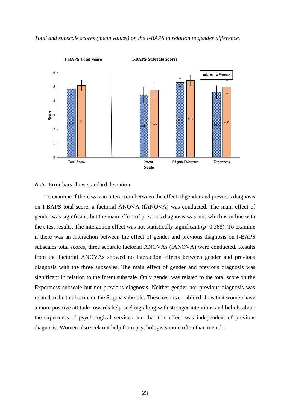*Total and subscale scores (mean values) on the I-BAPS in relation to gender difference.*



*Note.* Error bars show standard deviation.

To examine if there was an interaction between the effect of gender and previous diagnosis on I-BAPS total score, a factorial ANOVA (fANOVA) was conducted. The main effect of gender was significant, but the main effect of previous diagnosis was not, which is in line with the t-test results. The interaction effect was not statistically significant  $(p=0.368)$ . To examine if there was an interaction between the effect of gender and previous diagnosis on I-BAPS subscales total scores, three separate factorial ANOVAs (fANOVA) were conducted. Results from the factorial ANOVAs showed no interaction effects between gender and previous diagnosis with the three subscales. The main effect of gender and previous diagnosis was significant in relation to the Intent subscale. Only gender was related to the total score on the Expertness subscale but not previous diagnosis. Neither gender nor previous diagnosis was related to the total score on the Stigma subscale. These results combined show that women have a more positive attitude towards help-seeking along with stronger intentions and beliefs about the expertness of psychological services and that this effect was independent of previous diagnosis. Women also seek out help from psychologists more often than men do.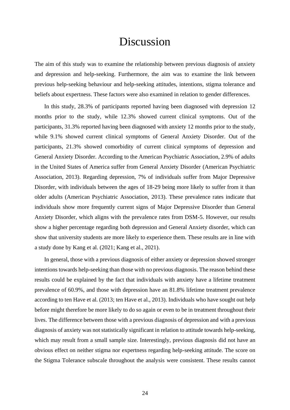# Discussion

<span id="page-27-0"></span>The aim of this study was to examine the relationship between previous diagnosis of anxiety and depression and help-seeking. Furthermore, the aim was to examine the link between previous help-seeking behaviour and help-seeking attitudes, intentions, stigma tolerance and beliefs about expertness. These factors were also examined in relation to gender differences.

In this study, 28.3% of participants reported having been diagnosed with depression 12 months prior to the study, while 12.3% showed current clinical symptoms. Out of the participants, 31.3% reported having been diagnosed with anxiety 12 months prior to the study, while 9.1% showed current clinical symptoms of General Anxiety Disorder. Out of the participants, 21.3% showed comorbidity of current clinical symptoms of depression and General Anxiety Disorder. According to the American Psychiatric Association, 2.9% of adults in the United States of America suffer from General Anxiety Disorder (American Psychiatric Association, 2013). Regarding depression, 7% of individuals suffer from Major Depressive Disorder, with individuals between the ages of 18-29 being more likely to suffer from it than older adults (American Psychiatric Association, 2013). These prevalence rates indicate that individuals show more frequently current signs of Major Depressive Disorder than General Anxiety Disorder, which aligns with the prevalence rates from DSM-5. However, our results show a higher percentage regarding both depression and General Anxiety disorder, which can show that university students are more likely to experience them. These results are in line with a study done by Kang et al. (2021; Kang et al., 2021).

In general, those with a previous diagnosis of either anxiety or depression showed stronger intentions towards help-seeking than those with no previous diagnosis. The reason behind these results could be explained by the fact that individuals with anxiety have a lifetime treatment prevalence of 60.9%, and those with depression have an 81.8% lifetime treatment prevalence according to ten Have et al. (2013; ten Have et al., 2013). Individuals who have sought out help before might therefore be more likely to do so again or even to be in treatment throughout their lives. The difference between those with a previous diagnosis of depression and with a previous diagnosis of anxiety was not statistically significant in relation to attitude towards help-seeking, which may result from a small sample size. Interestingly, previous diagnosis did not have an obvious effect on neither stigma nor expertness regarding help-seeking attitude. The score on the Stigma Tolerance subscale throughout the analysis were consistent. These results cannot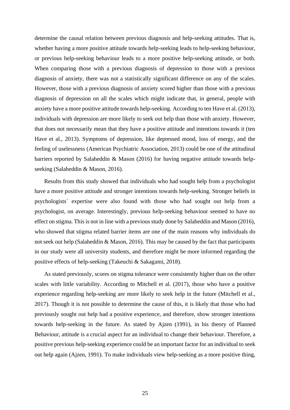determine the causal relation between previous diagnosis and help-seeking attitudes. That is, whether having a more positive attitude towards help-seeking leads to help-seeking behaviour, or previous help-seeking behaviour leads to a more positive help-seeking attitude, or both. When comparing those with a previous diagnosis of depression to those with a previous diagnosis of anxiety, there was not a statistically significant difference on any of the scales. However, those with a previous diagnosis of anxiety scored higher than those with a previous diagnosis of depression on all the scales which might indicate that, in general, people with anxiety have a more positive attitude towards help-seeking. According to ten Have et al. (2013), individuals with depression are more likely to seek out help than those with anxiety. However, that does not necessarily mean that they have a positive attitude and intentions towards it (ten Have et al., 2013). Symptoms of depression, like depressed mood, loss of energy, and the feeling of uselessness (American Psychiatric Association, 2013) could be one of the attitudinal barriers reported by Salaheddin & Mason (2016) for having negative attitude towards helpseeking (Salaheddin & Mason, 2016).

Results from this study showed that individuals who had sought help from a psychologist have a more positive attitude and stronger intentions towards help-seeking. Stronger beliefs in psychologists´ expertise were also found with those who had sought out help from a psychologist, on average. Interestingly, previous help-seeking behaviour seemed to have no effect on stigma. This is not in line with a previous study done by Salaheddin and Mason (2016), who showed that stigma related barrier items are one of the main reasons why individuals do not seek out help (Salaheddin & Mason, 2016). This may be caused by the fact that participants in our study were all university students, and therefore might be more informed regarding the positive effects of help-seeking (Takeuchi & Sakagami, 2018).

As stated previously, scores on stigma tolerance were consistently higher than on the other scales with little variability. According to Mitchell et al. (2017), those who have a positive experience regarding help-seeking are more likely to seek help in the future (Mitchell et al., 2017). Though it is not possible to determine the cause of this, it is likely that those who had previously sought out help had a positive experience, and therefore, show stronger intentions towards help-seeking in the future. As stated by Ajzen (1991), in his theory of Planned Behaviour, attitude is a crucial aspect for an individual to change their behaviour. Therefore, a positive previous help-seeking experience could be an important factor for an individual to seek out help again (Ajzen, 1991). To make individuals view help-seeking as a more positive thing,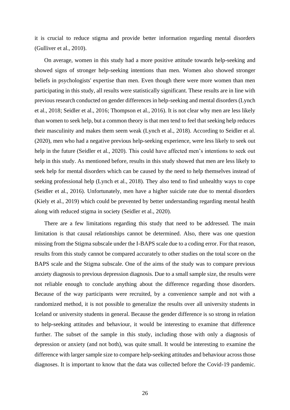it is crucial to reduce stigma and provide better information regarding mental disorders (Gulliver et al., 2010).

On average, women in this study had a more positive attitude towards help-seeking and showed signs of stronger help-seeking intentions than men. Women also showed stronger beliefs in psychologists' expertise than men. Even though there were more women than men participating in this study, all results were statistically significant. These results are in line with previous research conducted on gender differences in help-seeking and mental disorders (Lynch et al., 2018; Seidler et al., 2016; Thompson et al., 2016). It is not clear why men are less likely than women to seek help, but a common theory is that men tend to feel that seeking help reduces their masculinity and makes them seem weak (Lynch et al., 2018). According to Seidler et al. (2020), men who had a negative previous help-seeking experience, were less likely to seek out help in the future (Seidler et al., 2020). This could have affected men's intentions to seek out help in this study. As mentioned before, results in this study showed that men are less likely to seek help for mental disorders which can be caused by the need to help themselves instead of seeking professional help (Lynch et al., 2018). They also tend to find unhealthy ways to cope (Seidler et al., 2016). Unfortunately, men have a higher suicide rate due to mental disorders (Kiely et al., 2019) which could be prevented by better understanding regarding mental health along with reduced stigma in society (Seidler et al., 2020).

There are a few limitations regarding this study that need to be addressed. The main limitation is that causal relationships cannot be determined. Also, there was one question missing from the Stigma subscale under the I-BAPS scale due to a coding error. For that reason, results from this study cannot be compared accurately to other studies on the total score on the BAPS scale and the Stigma subscale. One of the aims of the study was to compare previous anxiety diagnosis to previous depression diagnosis. Due to a small sample size, the results were not reliable enough to conclude anything about the difference regarding those disorders. Because of the way participants were recruited, by a convenience sample and not with a randomized method, it is not possible to generalize the results over all university students in Iceland or university students in general. Because the gender difference is so strong in relation to help-seeking attitudes and behaviour, it would be interesting to examine that difference further. The subset of the sample in this study, including those with only a diagnosis of depression or anxiety (and not both), was quite small. It would be interesting to examine the difference with larger sample size to compare help-seeking attitudes and behaviour across those diagnoses. It is important to know that the data was collected before the Covid-19 pandemic.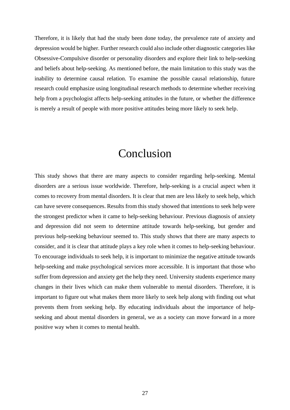Therefore, it is likely that had the study been done today, the prevalence rate of anxiety and depression would be higher. Further research could also include other diagnostic categories like Obsessive-Compulsive disorder or personality disorders and explore their link to help-seeking and beliefs about help-seeking. As mentioned before, the main limitation to this study was the inability to determine causal relation. To examine the possible causal relationship, future research could emphasize using longitudinal research methods to determine whether receiving help from a psychologist affects help-seeking attitudes in the future, or whether the difference is merely a result of people with more positive attitudes being more likely to seek help.

## Conclusion

<span id="page-30-0"></span>This study shows that there are many aspects to consider regarding help-seeking. Mental disorders are a serious issue worldwide. Therefore, help-seeking is a crucial aspect when it comes to recovery from mental disorders. It is clear that men are less likely to seek help, which can have severe consequences. Results from this study showed that intentions to seek help were the strongest predictor when it came to help-seeking behaviour. Previous diagnosis of anxiety and depression did not seem to determine attitude towards help-seeking, but gender and previous help-seeking behaviour seemed to. This study shows that there are many aspects to consider, and it is clear that attitude plays a key role when it comes to help-seeking behaviour. To encourage individuals to seek help, it is important to minimize the negative attitude towards help-seeking and make psychological services more accessible. It is important that those who suffer from depression and anxiety get the help they need. University students experience many changes in their lives which can make them vulnerable to mental disorders. Therefore, it is important to figure out what makes them more likely to seek help along with finding out what prevents them from seeking help. By educating individuals about the importance of helpseeking and about mental disorders in general, we as a society can move forward in a more positive way when it comes to mental health.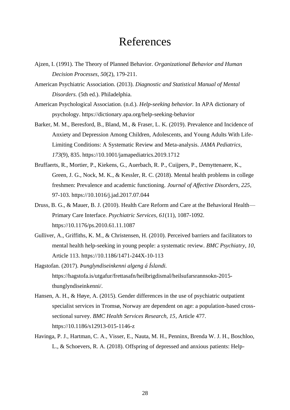## References

- <span id="page-31-0"></span>Ajzen, I. (1991). The Theory of Planned Behavior. *Organizational Behavior and Human Decision Processes, 50*(2), 179-211.
- American Psychiatric Association. (2013). *Diagnostic and Statistical Manual of Mental Disorders.* (5th ed.). Philadelphia.
- American Psychological Association. (n.d.). *Help-seeking behavior.* In APA dictionary of psychology. https://dictionary.apa.org/help-seeking-behavior
- Barker, M. M., Beresford, B., Bland, M., & Fraser, L. K. (2019). Prevalence and Incidence of Anxiety and Depression Among Children, Adolescents, and Young Adults With Life-Limiting Conditions: A Systematic Review and Meta-analysis. *JAMA Pediatrics, 173*(9), 835. https://10.1001/jamapediatrics.2019.1712
- Bruffaerts, R., Mortier, P., Kiekens, G., Auerbach, R. P., Cuijpers, P., Demyttenaere, K., Green, J. G., Nock, M. K., & Kessler, R. C. (2018). Mental health problems in college freshmen: Prevalence and academic functioning. *Journal of Affective Disorders, 225*, 97-103. https://10.1016/j.jad.2017.07.044
- Druss, B. G., & Mauer, B. J. (2010). Health Care Reform and Care at the Behavioral Health— Primary Care Interface. *Psychiatric Services, 61*(11), 1087-1092. https://10.1176/ps.2010.61.11.1087
- Gulliver, A., Griffiths, K. M., & Christensen, H. (2010). Perceived barriers and facilitators to mental health help-seeking in young people: a systematic review. *BMC Psychiatry, 10*, Article 113. https://10.1186/1471-244X-10-113
- Hagstofan. (2017). *Þunglyndiseinkenni algeng á Íslandi.*  https://hagstofa.is/utgafur/frettasafn/heilbrigdismal/heilsufarsrannsokn-2015 thunglyndiseinkenni/.
- Hansen, A. H., & Høye, A. (2015). Gender differences in the use of psychiatric outpatient specialist services in Tromsø, Norway are dependent on age: a population-based crosssectional survey. *BMC Health Services Research, 15*, Article 477. https://10.1186/s12913-015-1146-z
- Havinga, P. J., Hartman, C. A., Visser, E., Nauta, M. H., Penninx, Brenda W. J. H., Boschloo, L., & Schoevers, R. A. (2018). Offspring of depressed and anxious patients: Help-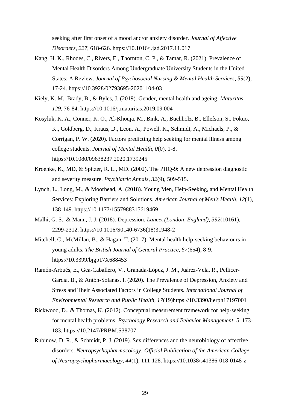seeking after first onset of a mood and/or anxiety disorder. *Journal of Affective Disorders, 227*, 618-626. https://10.1016/j.jad.2017.11.017

- Kang, H. K., Rhodes, C., Rivers, E., Thornton, C. P., & Tamar, R. (2021). Prevalence of Mental Health Disorders Among Undergraduate University Students in the United States: A Review. *Journal of Psychosocial Nursing & Mental Health Services, 59*(2), 17-24. https://10.3928/02793695-20201104-03
- Kiely, K. M., Brady, B., & Byles, J. (2019). Gender, mental health and ageing. *Maturitas, 129*, 76-84. https://10.1016/j.maturitas.2019.09.004
- Kosyluk, K. A., Conner, K. O., Al-Khouja, M., Bink, A., Buchholz, B., Ellefson, S., Fokuo, K., Goldberg, D., Kraus, D., Leon, A., Powell, K., Schmidt, A., Michaels, P., & Corrigan, P. W. (2020). Factors predicting help seeking for mental illness among college students. *Journal of Mental Health, 0*(0), 1-8. https://10.1080/09638237.2020.1739245
- Kroenke, K., MD, & Spitzer, R. L., MD. (2002). The PHQ-9: A new depression diagnostic and severity measure. *Psychiatric Annals, 32*(9), 509-515.
- Lynch, L., Long, M., & Moorhead, A. (2018). Young Men, Help-Seeking, and Mental Health Services: Exploring Barriers and Solutions. *American Journal of Men's Health, 12*(1), 138-149. https://10.1177/1557988315619469
- Malhi, G. S., & Mann, J. J. (2018). Depression. *Lancet (London, England), 392*(10161), 2299-2312. https://10.1016/S0140-6736(18)31948-2
- Mitchell, C., McMillan, B., & Hagan, T. (2017). Mental health help-seeking behaviours in young adults. *The British Journal of General Practice, 67*(654), 8-9. https://10.3399/bjgp17X688453
- Ramón-Arbués, E., Gea-Caballero, V., Granada-López, J. M., Juárez-Vela, R., Pellicer-García, B., & Antón-Solanas, I. (2020). The Prevalence of Depression, Anxiety and Stress and Their Associated Factors in College Students. *International Journal of Environmental Research and Public Health, 17*(19)https://10.3390/ijerph17197001
- Rickwood, D., & Thomas, K. (2012). Conceptual measurement framework for help-seeking for mental health problems. *Psychology Research and Behavior Management, 5*, 173- 183. https://10.2147/PRBM.S38707
- Rubinow, D. R., & Schmidt, P. J. (2019). Sex differences and the neurobiology of affective disorders. *Neuropsychopharmacology: Official Publication of the American College of Neuropsychopharmacology, 44*(1), 111-128. https://10.1038/s41386-018-0148-z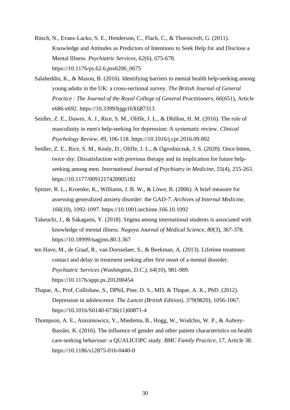- Rüsch, N., Evans-Lacko, S. E., Henderson, C., Flach, C., & Thornicroft, G. (2011). Knowledge and Attitudes as Predictors of Intentions to Seek Help for and Disclose a Mental Illness. *Psychiatric Services, 62*(6), 675-678. https://10.1176/ps.62.6.pss6206\_0675
- Salaheddin, K., & Mason, B. (2016). Identifying barriers to mental health help-seeking among young adults in the UK: a cross-sectional survey. *The British Journal of General Practice : The Journal of the Royal College of General Practitioners, 66*(651), Article e686-e692. https://10.3399/bjgp16X687313
- Seidler, Z. E., Dawes, A. J., Rice, S. M., Oliffe, J. L., & Dhillon, H. M. (2016). The role of masculinity in men's help-seeking for depression: A systematic review. *Clinical Psychology Review, 49*, 106-118. https://10.1016/j.cpr.2016.09.002
- Seidler, Z. E., Rice, S. M., Kealy, D., Oliffe, J. L., & Ogrodniczuk, J. S. (2020). Once bitten, twice shy: Dissatisfaction with previous therapy and its implication for future helpseeking among men. *International Journal of Psychiatry in Medicine, 55*(4), 255-263. https://10.1177/0091217420905182
- Spitzer, R. L., Kroenke, K., Williams, J. B. W., & Löwe, B. (2006). A brief measure for assessing generalized anxiety disorder: the GAD-7. *Archives of Internal Medicine, 166*(10), 1092-1097. https://10.1001/archinte.166.10.1092
- Takeuchi, J., & Sakagami, Y. (2018). Stigma among international students is associated with knowledge of mental illness. *Nagoya Journal of Medical Science, 80*(3), 367-378. https://10.18999/nagjms.80.3.367
- ten Have, M., de Graaf, R., van Dorsselaer, S., & Beekman, A. (2013). Lifetime treatment contact and delay in treatment seeking after first onset of a mental disorder. *Psychiatric Services (Washington, D.C.), 64*(10), 981-989. https://10.1176/appi.ps.201200454
- Thapar, A., Prof, Collishaw, S., DPhil, Pine, D. S., MD, & Thapar, A. K., PhD. (2012). Depression in adolescence. *The Lancet (British Edition), 379*(9820), 1056-1067. https://10.1016/S0140-6736(11)60871-4
- Thompson, A. E., Anisimowicz, Y., Miedema, B., Hogg, W., Wodchis, W. P., & Aubrey-Bassler, K. (2016). The influence of gender and other patient characteristics on health care-seeking behaviour: a QUALICOPC study. *BMC Family Practice, 17*, Article 38. https://10.1186/s12875-016-0440-0